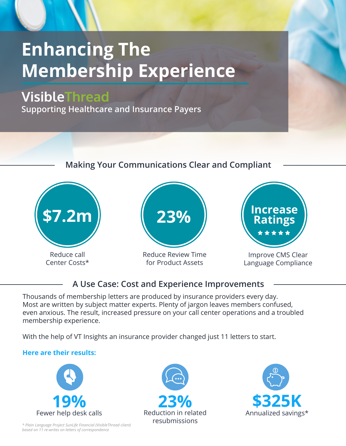# **Enhancing The Membership Experience**

# VisibleThread

**Supporting Healthcare and Insurance Payers**

### **Making Your Communications Clear and Compliant**



Center Costs\*



Reduce Review Time for Product Assets



Improve CMS Clear Language Compliance

### **A Use Case: Cost and Experience Improvements**

Thousands of membership letters are produced by insurance providers every day. Most are written by subject matter experts. Plenty of jargon leaves members confused, even anxious. The result, increased pressure on your call center operations and a troubled membership experience.

With the help of VT Insights an insurance provider changed just 11 letters to start.

#### **Here are their results:**



*\* Plain Language Project SunLife Financial (VisibleThread client) based on 11 re-writes on letters of correspondence*



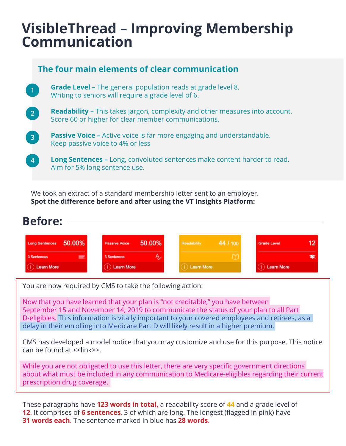# **VisibleThread – Improving Membership Communication**

|                                   | The four main elements of clear communication                                                                                              |
|-----------------------------------|--------------------------------------------------------------------------------------------------------------------------------------------|
| $\begin{bmatrix} 1 \end{bmatrix}$ | <b>Grade Level - The general population reads at grade level 8.</b><br>Writing to seniors will require a grade level of 6.                 |
| $\sqrt{2}$                        | <b>Readability -</b> This takes jargon, complexity and other measures into account.<br>Score 60 or higher for clear member communications. |
| 3 <sup>2</sup>                    | <b>Passive Voice -</b> Active voice is far more engaging and understandable.<br>Keep passive voice to 4% or less                           |
| $\boldsymbol{4}$                  | <b>Long Sentences -</b> Long, convoluted sentences make content harder to read.<br>Aim for 5% long sentence use.                           |

We took an extract of a standard membership letter sent to an employer. **Spot the difference before and after using the VT Insights Platform:** 

## **Before:**

| Long Sentences 50.00% | 50.00%<br>Passive Voice | 44/100<br>Readability | Grade Level       |
|-----------------------|-------------------------|-----------------------|-------------------|
| ≡<br>3 Sentences      | 3 Sentences             |                       |                   |
| <b>Learn More</b>     | Learn More              | Learn More            | <b>Learn More</b> |

You are now required by CMS to take the following action:

Now that you have learned that your plan is "not creditable," you have between September 15 and November 14, 2019 to communicate the status of your plan to all Part D-eligibles. This information is vitally important to your covered employees and retirees, as a delay in their enrolling into Medicare Part D will likely result in a higher premium.

CMS has developed a model notice that you may customize and use for this purpose. This notice can be found at <<link>>.

While you are not obligated to use this letter, there are very specific government directions about what must be included in any communication to Medicare-eligibles regarding their current prescription drug coverage.

These paragraphs have **123 words in total,** a readability score of **44** and a grade level of **12**. It comprises of **6 sentences**, 3 of which are long. The longest (flagged in pink) have **31 words each**. The sentence marked in blue has **28 words**.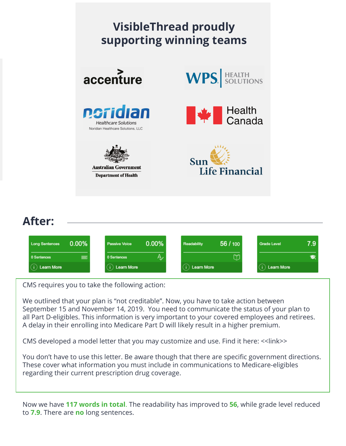

## **After:**

| $0.00\%$<br><b>Long Sentences</b> | $0.00\%$<br>Passive Voice | 56 / 100<br>Readability | 7.9<br>Grade Level |
|-----------------------------------|---------------------------|-------------------------|--------------------|
| 0 Sentences                       | Ą,<br>0 Sentences         |                         | ъ                  |
| Learn More                        | ) Learn More              | ) Learn More            | ) Learn More       |

CMS requires you to take the following action:

We outlined that your plan is "not creditable". Now, you have to take action between September 15 and November 14, 2019. You need to communicate the status of your plan to all Part D-eligibles. This information is very important to your covered employees and retirees. A delay in their enrolling into Medicare Part D will likely result in a higher premium.

CMS developed a model letter that you may customize and use. Find it here: <<link>>

You don't have to use this letter. Be aware though that there are specific government directions. These cover what information you must include in communications to Medicare-eligibles regarding their current prescription drug coverage.

Now we have **117 words in total**. The readability has improved to **56**, while grade level reduced to **7.9**. There are **no** long sentences.